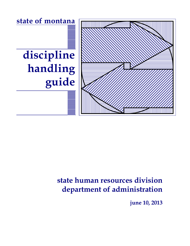**state of montana**

# **discipline handling guide**



## **state human resources division department of administration**

**june 10, 2013**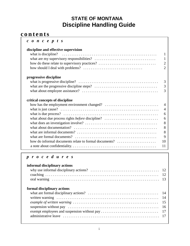### **STATE OF MONTANA Discipline Handling Guide**

### **c o n t e n t s**

| $c$ on $c$ epts                                                                                                              |                |
|------------------------------------------------------------------------------------------------------------------------------|----------------|
| discipline and effective supervision                                                                                         |                |
| what is discipline? $\dots \dots \dots \dots \dots \dots \dots \dots \dots \dots \dots \dots \dots \dots \dots \dots \dots$  | 1              |
|                                                                                                                              | $\mathbf{1}$   |
| how do these relate to supervisory practices?                                                                                | $\overline{2}$ |
|                                                                                                                              | $\overline{2}$ |
| progressive discipline                                                                                                       |                |
|                                                                                                                              | 3              |
|                                                                                                                              | 3              |
|                                                                                                                              | 3              |
| critical concepts of discipline                                                                                              |                |
|                                                                                                                              | $\overline{A}$ |
|                                                                                                                              | $\overline{4}$ |
| what is due process? $\dots \dots \dots \dots \dots \dots \dots \dots \dots \dots \dots \dots \dots \dots \dots \dots \dots$ | 6              |
| what about due process rights <i>before</i> discipline?                                                                      | 6              |
|                                                                                                                              | 8              |
|                                                                                                                              | 8              |
|                                                                                                                              | 8              |
|                                                                                                                              | 9              |
| how do informal documents relate to formal documents?                                                                        | 10             |
|                                                                                                                              | 11             |

### *p r o c e d u r e s*

| informal disciplinary actions |  |
|-------------------------------|--|
| formal disciplinary actions   |  |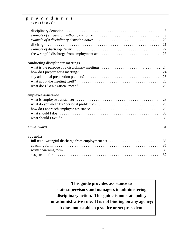### *p r o c e d u r e s*

*( c o n t i n u e d )*

|                                                                                                                                                        | 18<br>19<br>20<br>21<br>22<br>23 |
|--------------------------------------------------------------------------------------------------------------------------------------------------------|----------------------------------|
| conducting disciplinary meetings                                                                                                                       |                                  |
|                                                                                                                                                        |                                  |
|                                                                                                                                                        | 24                               |
|                                                                                                                                                        | 25                               |
|                                                                                                                                                        |                                  |
|                                                                                                                                                        |                                  |
| employee assistance<br>what should $I$ do? $\ldots$ $\ldots$ $\ldots$ $\ldots$ $\ldots$ $\ldots$ $\ldots$ $\ldots$ $\ldots$ $\ldots$ $\ldots$ $\ldots$ | 28<br>28<br>29<br>30<br>30       |
|                                                                                                                                                        |                                  |
| appendix                                                                                                                                               |                                  |
| full text: wrongful discharge from employment act                                                                                                      | 33                               |
|                                                                                                                                                        | 35                               |
|                                                                                                                                                        |                                  |
|                                                                                                                                                        | 36<br>37                         |

**This guide provides assistance to state supervisors and managers in administering disciplinary action. This guide is not state policy or administrative rule. It is not binding on any agency; it does not establish practice or set precedent.**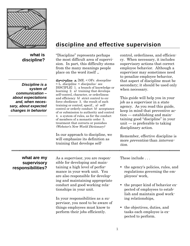

**what is discipline?**

*Discipline is a system of communication – about expectations and, when necessary, about expected changes in behavior*

### **discipline and effective supervision**

"Discipline" represents perhaps the most difficult area of supervision. In part, this difficulty stems from the many meanings people place on the word itself ...

dis•ci•pline  $n$ . [ME. < OFr. descepline < L. disciplina < discipulus: see DISCIPLE] 1. a branch of knowledge or learning 2. a) training that develops self-control, character, or orderliness and efficiency b) strict control to enforce obedience 3. the result of such training or control; specif., a) selfcontrol or orderly conduct b) acceptance of or submission to authority and control 4. a system of rules, as for the conduct of members of a monastic order 5. treatment that corrects or punishes (Webster's New World Dictionary)

In our approach to discipline, we will emphasize its definition as training that develops self-

control, orderliness, and efficiency. When necessary, it includes supervisory actions that correct employee behavior. Although a supervisor may sometimes need to penalize employee behavior, that aspect of discipline must be secondary; it should be used only when necessary.

This guide will help you in your job as a supervisor in a state agency. As you read this guide, keep in mind that preventive action — establishing and maintaining good "discipline" in your  $unit - is preferable to taking$ disciplinary action.

Remember, effective discipline is more *prevention* than *interven* tion.

### **what are my supervisory responsibilities?**

As a supervisor, you are responsible for developing and maintaining a high level of performance in your work unit. You are also responsible for developing and maintaining appropriate conduct and good working relationships in your unit.

In your responsibilities as a supervisor, you need to be aware of things employees must know to perform their jobs efficiently.

These include . . .

- the agency's policies, rules, and regulations governing the employees' work,
- the proper kind of behavior expected of employees to establish and maintain good working relationships,
- the objectives, duties, and tasks each employee is expected to perform.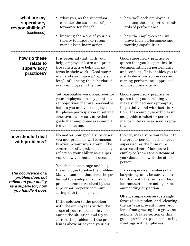| what are my<br>supervisory<br>responsibilities?<br>(continued)                                                   | • what you, as the supervisor,<br>consider the standards of per-<br>formance for the job,<br>knowing the scope of your au-<br>$\bullet$<br>thority to impose or recom-<br>mend disciplinary action,                                                                                  | • how well each employee is<br>meeting those expected stand-<br>ards of performance,<br>how the employees can im-<br>$\bullet$<br>prove their performance and<br>working capabilities.                                                                   |
|------------------------------------------------------------------------------------------------------------------|--------------------------------------------------------------------------------------------------------------------------------------------------------------------------------------------------------------------------------------------------------------------------------------|----------------------------------------------------------------------------------------------------------------------------------------------------------------------------------------------------------------------------------------------------------|
| how do these<br>relate to<br>supervisory<br>practices?                                                           | It is essential that, with your<br>help, employees learn and prac-<br>tice constructive behavior pat-<br>terns in their work. Good work-<br>ing habits will have a "ripple ef-<br>fect," influencing the behavior of<br>every employee in the unit.                                  | Good supervisory practice re-<br>quires that you keep maintain<br>documentation on performance<br>and conduct. This enables you to<br>justify decisions you make con-<br>cerning performance appraisal<br>and disciplinary action.                       |
|                                                                                                                  | Set reasonable work objectives for<br>your employees. A key point is to<br>set objectives that are reasonable<br>both to you and your employees.<br>Employee participation in setting<br>objectives can result in realistic<br>goals that employees are commit-<br>ted to achieving. | Good supervisory practice re-<br>quires that you be willing to<br>make such decisions promptly,<br>impartially, and with justifica-<br>tion. If an employee exhibits un-<br>acceptable conduct or perfor-<br>mance, intervene as soon as prac-<br>tical. |
| how should I deal<br>with problems?                                                                              | No matter how good a supervisor<br>you are, problems will occasional-<br>ly arise in your work group. The<br>occurrence of a problem does not<br>reflect on your ability as a super-<br>visor; how you handle it does.<br>You should encourage and help                              | thority, make sure you refer it to<br>the proper person, such as your<br>supervisor or the human re-<br>sources officer. Make sure the<br>employee knows the outcome of<br>your discussion with the other<br>person.                                     |
| The occurrence of a<br>problem does not<br>reflect on your ability<br>as a supervisor; how<br>you handle it does | the employee to solve the problem.<br>Many situations that have the po-<br>tential to develop into chronic<br>problems can be resolved by the<br>supervisor properly communi-<br>cating with the employee.                                                                           | If you supervise members of a<br>bargaining unit, be sure you are<br>familiar with the terms of the un-<br>ion contract before acting or rec-<br>ommending any action.<br>Often, simple courtesy, straight-                                              |
|                                                                                                                  | If the solution to the problem<br>with the employee is within the<br>scope of your responsibility, ex-<br>amine the situation and try to<br>correct the problem. If the prob-<br>lem is above or beyond your au-                                                                     | forward discussion, and "clearing"<br>the air" can prevent minor prob-<br>lems from growing into grievance<br>actions. A later section of this<br>guide provides tips on conducting<br>meetings with employees.                                          |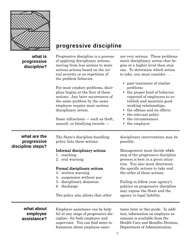

### **progressive discipline**

| what is<br>progressive<br>discipline?            | Progressive discipline is a process<br>of applying disciplinary actions,<br>moving from less serious to more<br>serious actions based on the ini-<br>tial severity or on repetition of<br>the problem behavior. | are very serious. These problems<br>merit disciplinary action that be-<br>gins at a higher level than step<br>one. To determine which action<br>to take, you must consider                                                                     |
|--------------------------------------------------|-----------------------------------------------------------------------------------------------------------------------------------------------------------------------------------------------------------------|------------------------------------------------------------------------------------------------------------------------------------------------------------------------------------------------------------------------------------------------|
|                                                  | For most conduct problems, disci-<br>pline begins at the first of these<br>actions. Any later occurrences of<br>the same problem by the same<br>employee require more serious<br>disciplinary action.           | • past treatment of similar<br>problems<br>• the proper kind of behavior<br>expected of employees to es-<br>tablish and maintain good<br>working relationships,<br>the offense and its effects<br>the relevant policy                          |
|                                                  | Some infractions $-$ such as theft,                                                                                                                                                                             | the circumstances                                                                                                                                                                                                                              |
|                                                  | assault, or falsifying records —                                                                                                                                                                                | the employee                                                                                                                                                                                                                                   |
|                                                  |                                                                                                                                                                                                                 |                                                                                                                                                                                                                                                |
| what are the<br>progressive<br>discipline steps? | The State's discipline-handling<br>policy lists these actions:                                                                                                                                                  | disciplinary interventions may be<br>possible.                                                                                                                                                                                                 |
|                                                  | Informal disciplinary actions<br>1. coaching<br>2. oral warning<br>Formal disciplinary actions<br>3. written warning<br>suspension without pay<br>4.<br>5. disciplinary demotion                                | Management must decide which<br>step of the progressive discipline<br>process is best in a given situa-<br>tion. You also must determine<br>the specific actions to take and<br>the order of these actions.<br>Failing to follow your agency's |
|                                                  | discharge<br>6.<br>The policy also allows that other                                                                                                                                                            | policies on progressive discipline<br>may expose the State and the<br>agency to legal liability.                                                                                                                                               |
|                                                  |                                                                                                                                                                                                                 |                                                                                                                                                                                                                                                |
| what about                                       | Employee assistance can be help-                                                                                                                                                                                | tance later in this guide. In addi-                                                                                                                                                                                                            |
| employee<br>assistance?                          | ful at any stage of progressive dis-<br>cipline-for both employee and                                                                                                                                           | tion, information on employee as-<br>sistance is available from the                                                                                                                                                                            |

supervisor. You can find more information about employee assisHealth Care and Benefits Division, Department of Administration.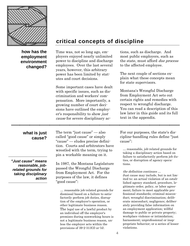

**how has the employment environment changed?**

### **critical concepts of discipline**

Time was, not so long ago, employers enjoyed nearly unlimited power to discipline and discharge employees. Over the last several years, however, this arbitrary power has been limited by statutes and court decisions.

Some important cases have dealt with specific issues, such as discrimination and workers' compensation. More importantly, a growing number of court decisions have outlined the employer's responsibility to show just cause for severe disciplinary actions, such as discharge. And most public employers, such as the state, must afford due process to the affected employee.

The next couple of sections explain what these concepts mean for state supervisors.

Montana's Wrongful Discharge from Employment Act sets out certain rights and remedies with respect to wrongful discharge. You can read a description of this law later in this guide and its full text in the appendix.

**what is just cause?**

*"Just cause" means reasonable, jobrelated grounds for taking disciplinary action*

The term "just cause" — also called "good cause" or simply "cause" — eludes precise definition. Courts and arbitrators have wrestled with the term, trying to pin a workable meaning on it.

In 1987, the Montana Legislature passed the Wrongful Discharge from Employment Act. For the purposes of the law, it defines "good cause":

… reasonable job-related grounds for dismissal based on a failure to satisfactorily perform job duties, disruption of the employer's operation, or other legitimate business reason. The legal use of a lawful product by an individual off the employer's premises during nonworking hours is not a legitimate business reason, unless the employer acts within the provisions of 39-2-313(3) or (4).

For our purposes, the state's discipline-handling rules define "just cause":

… reasonable, job-related grounds for taking a disciplinary action based on failure to satisfactorily perform job duties, or disruption of agency operations.

#### the definition continues …

Just cause may include, but is not limited to: an actual violation of an established agency standard, procedure, legitimate order, policy, or labor agreement; failure to meet applicable professional standards; criminal misconduct; wrongful discrimination; deliberate misconduct; negligence; deliberately providing false information on an employment application; willful damage to public or private property; workplace violence or intimidation; harassment; unprofessional or inappropriate behavior; or a series of lesser violations.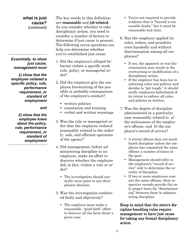#### **what is just cause?** (continued)

#### *Essentially, to show just cause, management must*

*1) show that the employee violated a specific policy, rule, performance requirement, or standard of employment* 

*and* 

*2) show that the employee knew about the policy, rule, performance requirement, or standard of employment*

The key words in this definition are reasonable and job-related. As you consider whether to take disciplinary action, you need to consider a number of factors to determine if just cause is present. The following seven questions can help you determine whether you've established just cause.

- 1. Did the employee's alleged behavior violate a specific work rule, policy, or managerial order?
- 2. Did the employer give the employee forewarning of the possible or probable consequences of the employee's conduct?
	- written policies
	- orientation and training
	- verbal and written warnings
- 3. Was the rule or managerial order that the employee violated reasonably related to the orderly, safe, and efficient operation of the agency?
- 4. Did management, before administering discipline to an employee, make an effort to discover whether the employee did, in fact, violate a rule or order?
	- The investigation should normally occur prior to any disciplinary decision.
- 5. Was the investigation conducted fairly and objectively?
	- The employer must make a reasonable, "good faith" effort to discover all the facts about a given case.
- You're not required to provide evidence that is "beyond a reasonable doubt," but it must be reasonable and clear.
- 6. Has the employer applied its rules, orders, and penalties even-handedly and without discrimination among all employees?
	- If not, the apparent or real discrimination may result in the overturning or modification of a disciplinary action.
	- If the employer has been lax in enforcing rules and policies and decides to "get tough," it should notify employees beforehand of its intent to enforce all rules and policies as written.
- 7. Was the degree of discipline administered in a particular case reasonably related to a) the seriousness of the employee's offense, and b) the employee's record of service?
	- A trivial offense does not merit harsh discipline unless the employee has committed the same offense a number of times in the past.
	- Management should refer to the employee's "record of service" only to determine the severity of discipline.
	- If two or more employees commit the same offense, their respective records provide the only proper basis for "discriminating" between them in administering discipline.

Keep in mind that the state's discipline-handling rules require management to have just cause for taking any formal disciplinary action.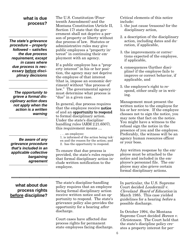### **what is due process?**

*The state's grievance procedure – properly followed – satisfies the due process requirement, except in cases where due process is necessary before disciplinary decisions*

*The opportunity to grieve a formal disciplinary action does not apply when the action is a written warning* 

*Be aware of any grievance procedure that's included in an applicable collective bargaining agreement* The U.S. Constitution (Fourteenth Amendment) and the Montana Constitution (Article II, Section 17) state that the government shall not deprive a person of property or liberty without due process of law. Statutes or administrative rules may give public employees a "property interest" in continuing their employment with an agency.

If a public employee has a "property interest" in his or her position, the agency may not deprive the employee of that interest (that is, impose an economic detriment) without "due process of law." The governmental agency must determine what process is "due" in a given case.

In general, due process requires that the employee receive notice of and an opportunity to respond to formal disciplinary action. Under the state's disciplinehandling rules (ARM 2.21.6507), this requirement means …

. . . an employee:

1. is informed of the action being taken and the reason for the action; and 2. has the opportunity to respond.

To ensure that due process is provided, the state's rules require that formal disciplinary action include written notification to the employee.

Critical elements of this notice include:

- 1. the just cause (reasons) for the disciplinary action,
- 2. a description of the disciplinary action, including dates and duration, if applicable,
- 3. the improvements or corrections expected of the employee, if applicable,
- 4. consequences (further discipline) if the employee fails to improve or correct behavior, if applicable, and
- 5. the employee's right to respond, either orally or in writing.

Management must present the written notice to the employee for his or her review. If the employee chooses not to sign the notice, you may note that fact on the notice. You might have a witness to the refusal sign the notice in the presence of you and the employee. Preferably, the witness will be an agency human resources officer or your boss.

Any written response by the employee must be attached to the notice and included in the employee's personnel file. The employee may also grieve certain formal disciplinary actions.

### **what about due process rights before discipline?**

The state's discipline-handling policy requires that an employee facing formal disciplinary action receive written notice and an opportunity to respond. The state's grievance policy also provides the opportunity for a hearing after discharge.

Court cases have affected due process rights for permanent state employees facing discharge.

In particular, the U.S. Supreme Court decided Loudermill v. Cleveland Board of Education in March 1985. This case yielded guidelines for a hearing before a possible discharge.

In October 1994, the Montana Supreme Court decided *Boreen v.* Christensen. The Court held that the state's discipline policy creates a property interest for per-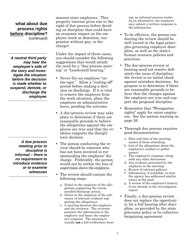### **what about due process rights before discipline?** (continued)

*A neutral third party may hear the employee's side of the story and investigate the situation before the decision is made whether to suspend, demote, or discharge the employee*

*A due process meeting prior to discipline is informal – there is no requirement to introduce evidence or to examine witnesses* manent state employees. This property interest gives rise to the right of due process before deciding on discipline that could have an economic impact on the employee (such as demotion, suspension without pay, or discharge).

Under the impact of these cases, you should consider the following suggestions that would satisfy the need for a "due-process meeting" or "Loudermill hearing."

- Never fire an employee "onthe-spot." Allow a "cooling-off" period before making a decision on discharge. If it is vital to remove the employee from the work situation, place the employee on administrative leave, pending the outcome.
- A due-process review may take place to determine if there are reasonable grounds to believe the allegations against the employee are true and that the evidence supports the disciplinary decision.
- The person conducting the review should be someone who has not been involved in recommending the employee' discharge. Preferably, the person would not be within the line of supervision above the employee.
- The review should contain the following steps:
	- a. Notice to the employee of the allegations supporting the recommended discharge action;
	- b. Notice to the employee of the substance of relevant evidence supporting the allegations;
	- c. A meeting between the employee and the reviewer. The reviewer presents the information to the employee and hears the employee's response. The meeting is usually not a full evidentiary hear-

ing; an informal process works. As an alternative, the employee may submit a written response to the information.

- To be effective, the person conducting the review should be well versed in the legal principles governing employee discipline, as well as the state's human resource policies and practices.
- The due-process review or hearing need not resolve definitely the issue of discipline; the review is an initial check against mistaken decisions. Its purpose is to determine if there are reasonable grounds to believe that the charges against the employee are true and support the proposed discipline.
- Remember that "Weingarten rights" apply for union employees. See the section starting on page 26.
- Thorough due process requires good documentation:
	- a. Date and time of the meeting, names of those attending;
	- b. List of the allegations about the employee's conduct or performance;
	- c. The employee's response, along with any other discussion;
	- d. Any evidence presented by the employee in the meeting;
	- e. Review of relevant policies;
	- f. Information, if available, on how the agency has addressed similar issues in the past;
	- g. A review of the employee's history, if not already in the investigation report.
- Finally, a due-process review does not replace the opportunity for a full hearing after discipline, as provided by the state grievance policy or by collective bargaining agreement.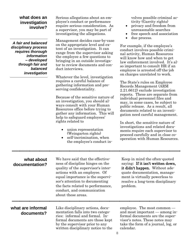### **what does an investigation involve?**

*A fair and balanced disciplinary process requires thorough information – developed through fair and balanced investigation*

Serious allegations about an employee's conduct or performance require serious consideration. As a supervisor, you may be part of investigating the allegations.

Management decides case-by-case on the appropriate level and extent of an investigation. It can range from the supervisor asking the employee a few questions to bringing in an outside investigator to review documents and conduct interviews.

Whatever the level, investigation requires a careful balance of gathering information and preserving confidentiality.

Because of the sensitive nature of an investigation, you should always consult with your Human Resources office before trying to gather any information. This will help to safeguard employees' rights related to

- union representation (Weingarten rights)
- self-incrimination, when the employee's conduct in-

volves possible criminal activity (Garrity rights)

- privacy and freedom from unreasonable searches
- free speech and association
- due process.

For example, if the employee's conduct involves possible criminal activity, Human Resources will know how and when to get law enforcement involved. It's also important to consult HR if an employee is arrested off-the-job on charges unrelated to work.

The State's rules on Employee Records Management (ARM 2.21.6612) exclude investigation reports. These are separate from individual personnel files and may, in some cases, be subject to public release. As a result, all documents related to an investigation need careful management.

In short, the sensitive nature of investigations and related documents require each supervisor to proceed carefully and in close cooperation with Human Resources.

### **what about documentation?**

We have said that the effectiveness of discipline hinges on the quality of the supervisor's interactions with an employee. Of equal importance is the supervisor's attention to documenting the facts related to performance, conduct, and communication about these areas.

Keep in mind the often-quoted saying: If it isn't written down, it didn't happen. Without adequate documentation, management is virtually powerless to resolve a long-term disciplinary problem.

### **what are informal documents?**

Like disciplinary actions, documentation falls into two categories: informal and formal. Informal documents are those kept by the supervisor prior to any written disciplinary notice to the

employee. The most common and most important — among informal documents are the supervisor's notes. These notes may take the form of a journal, log, or calendar.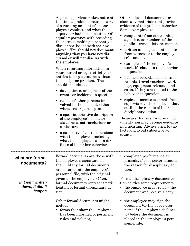A good supervisor makes notes at the time a problem occurs — sort of a running account of an employee's conduct and what the supervisor had done about it. Of equal importance with recording the notes is making sure that you discuss the issues with the employee. You should not document anything that you have not discussed or will not discuss with the employee.

When recording information in your journal or log, restrict your entries to important facts about the discipline problem. These should include . . .

- dates, times, and places of the events or incidents in question.
- names of other persons involved in the incident, either as witnesses or participants.
- a specific, objective description of the employee's behavior state facts, not conclusions or conjecture.
- a summary of your discussions with the employee, including what the employee said in defense of his or her behavior.

Other informal documents include any materials that provide evidence of the problem behavior. Some examples are ...

- complaints from other units, agencies, or members of the public – e-mail, letters, memos.
- written and signed statements from witnesses to the employee's conduct.
- examples of the employee's work, if related to the behavior in question.
- business records, such as time records, travel vouchers, work logs, equipment releases, and so on, if they are related to the behavior in question.
- copies of memos or e-mail from supervisor to the employee that outline the results of informal disciplinary action.

Be aware that even informal documentation may become evidence in a hearing. Always stick to the facts and avoid subjective accounts.

### **what are formal documents?**

*If it isn't written down, it didn't happen*

Formal documents are those with the employee's signature on them. Many formal documents are entered into the employee's personnel file, with the original given to the employee. Often, formal documents represent notification of formal disciplinary action.

Other formal documents might include ...

• forms that show the employee has been informed of pertinent rules and policies,

• completed performance appraisals, if poor performance is the reason for disciplinary action.

Formal disciplinary documentation carries some requirements ...

- the employee must review the document and receive a copy,
- the employee may sign the document (or the supervisor notes if the employee declines to) before the document is placed in the employee's personnel file,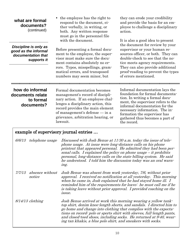| what are formal<br>documents?<br>(continued)                                       | • the employee has the right to<br>respond to the document, ei-<br>ther verbally, in writing, or<br>both. Any written response<br>must go in the personnel file<br>with the document.                                                                               | they can erode your credibility<br>and provide the basis for an em-<br>ployee to challenge a disciplinary<br>action.<br>It is also a good idea to present<br>the document for review by your<br>supervisor or your human re-<br>sources officer, or both. They can<br>double-check to see that the no-<br>tice meets agency requirements. |  |
|------------------------------------------------------------------------------------|---------------------------------------------------------------------------------------------------------------------------------------------------------------------------------------------------------------------------------------------------------------------|-------------------------------------------------------------------------------------------------------------------------------------------------------------------------------------------------------------------------------------------------------------------------------------------------------------------------------------------|--|
| Discipline is only as<br>good as the informal<br>documentation that<br>supports it | Before presenting a formal docu-<br>ment to the employee, the super-<br>visor must make sure the docu-<br>ment contains absolutely no er-                                                                                                                           |                                                                                                                                                                                                                                                                                                                                           |  |
|                                                                                    | rors. Typos, misspellings, gram-<br>matical errors, and transposed<br>numbers may seem minor, but                                                                                                                                                                   | They can also provide additional<br>proof-reading to prevent the types<br>of errors mentioned.                                                                                                                                                                                                                                            |  |
| how do informal<br>documents relate<br>to formal<br>documents?                     | Formal documentation becomes<br>management's record of discipli-<br>nary action. If an employee chal-<br>lenges a disciplinary action, this<br>record provides the main element<br>of management's defense — in a<br>grievance, arbitration hearing, or<br>lawsuit. | Informal documentation lays the<br>foundation for formal documenta-<br>tion. In writing a formal docu-<br>ment, the supervisor refers to the<br>informal documentation for the<br>necessary information. The in-<br>formation the supervisor has<br>gathered thus becomes a part of<br>the record.                                        |  |
|                                                                                    | example of supervisory journal entries                                                                                                                                                                                                                              |                                                                                                                                                                                                                                                                                                                                           |  |

| 6/6/13 | telephone usage | Discussed with Josh Benue at 11:30 a.m. today the issue of tele-<br>phone usage. At issue were long-distance calls on his phone<br>printout that appeared personal. He admitted they had been per-<br>sonal calls. I explained the policy on phone usage $-it$ prohibits<br>personal, long-distance calls on the state billing system. He said<br>he understood. I told him the discussion today was an oral warn-<br>ing. |
|--------|-----------------|----------------------------------------------------------------------------------------------------------------------------------------------------------------------------------------------------------------------------------------------------------------------------------------------------------------------------------------------------------------------------------------------------------------------------|
|        | notice          | 7/7/13 absence without Josh Benue was absent from work yesterday, 7/6, without prior<br>approval. I received no notification at all yesterday. This morning                                                                                                                                                                                                                                                                |

notice approval. I received no notification at all yesterday. This morning when he came in, Josh explained that he had stayed home ill. I reminded him of the requirements for leave: he must call me if he is taking leave without prior approval. I provided coaching on the issue.

8/14/13 clothing Josh Benue arrived at work this morning wearing a yellow tanktop shirt, denim knee-length shorts, and sandals. I directed him to go home and change into clothing that complies with the expectations on record: polo or sports shirt with sleeves, full-length pants, and closed-toed shoes, including socks. He returned at 9:40, wearing tan khakis, a blue polo shirt, and sneakers with socks.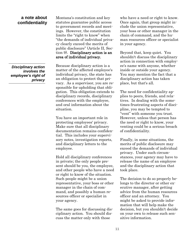### **a note about confidentiality**

*Disciplinary action involves the employee's right of privacy* Montana's constitution and key statutes guarantee public access to government records and meetings. However, the constitution limits the "right to know" when "the demands of individual privacy clearly exceed the merits of public disclosure" (Article II, Section 9). Disciplinary action is an area of individual privacy.

Because disciplinary action is a matter of the affected employee's individual privacy, the state has an obligation to protect that privacy. As a supervisor, you are responsible for upholding that obligation. This obligation extends to disciplinary records, disciplinary conferences with the employee, and oral information about the situation.

You have an important role in protecting employees' privacy. Make sure that all disciplinary documentation remains confidential. This includes your supervisory notes, investigation reports, and disciplinary letters to the employee.

Hold all disciplinary conferences in private; the only people present should be you, the employee, and other people who have a need or right to know of the situation. Such people might be a union representative, your boss or other manager in the chain of command, and possibly a human resources officer or specialist in your agency.

The same goes for discussing disciplinary action. You should discuss the matter only with those

who have a need or right to know. Once again, that group might include the union representative, your boss or other manager in the chain of command, and the human resources officer or specialist in your agency.

Beyond that, keep quiet. You shouldn't discuss the disciplinary action in connection with employee's name with anyone, whether inside or outside your agency. You may mention the fact that a disciplinary action has taken place, but that's all.

The need for confidentiality applies to peers, friends, and relatives. In dealing with the sometimes frustrating aspects of discipline, you may be tempted to "vent" with someone you trust. However, unless that person has the need or right to know, your venting could be a serious breach of confidentiality.

Finally, in some situations, the merits of public disclosure may exceed the demands of individual privacy. Under such circumstances, your agency may have to release the name of an employee and the disciplinary action that took place.

The decision to do so properly belongs to the director or other executive manager, after getting advice from the human resources officer and an attorney. You might be asked to provide information that will help make the decision, but you shouldn't decide on your own to release such sensitive information.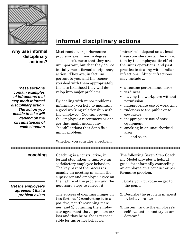

### **why use informal disciplinary actions?**

*These sections contain examples of infractions that may merit informal disciplinary action. The action you decide to take will depend on the circumstances of each situation*

### **informal disciplinary actions**

Most conduct or performance problems are minor in degree. This doesn't mean that they are unimportant, but that they do not initially merit formal disciplinary action. They are, in fact, important to you, and the sooner you deal with them appropriately, the less likelihood they will develop into major problems.

By dealing with minor problems informally, you help to maintain a good working relationship with the employee. You can prevent the employee's resentment or anger that might accompany "harsh" actions that don't fit a minor problem.

Whether you consider a problem

"minor" will depend on at least three considerations: the infraction by the employee, its effect on the unit's operations, and past practice in dealing with similar infractions. Minor infractions may include ...

- a routine performance error
- tardiness
- leaving the workplace without permission
- inappropriate use of work time
- rudeness to the public or to coworkers
- inappropriate use of state equipment
- smoking in an unauthorized area
- . . . and so on

### **coaching**

*Get the employee's agreement that a problem exists*

Coaching is a constructive, informal step taken to improve unsatisfactory employee behavior. The key part of the process is usually an meeting in which the supervisor and employee agree on the nature of the problem and the necessary steps to correct it.

The success of coaching hinges on two factors: 1) conducting it in a positive, non-threatening manner, and 2) obtaining the employee's agreement that a problem exists and that he or she is responsible for his or her behavior.

The following Seven-Step Coaching Model provides a helpful guide for informally counseling an employee on a conduct or performance problem.

- 1. State your purpose get to the point.
- 2. Describe the problem in specific, behavioral terms.
- 3. Listen! Invite the employee's self-evaluation and try to understand.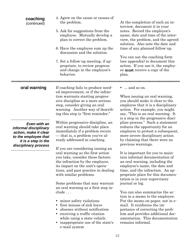### **coaching** (continued)

- 4. Agree on the cause or causes of the problem.
- 5. Ask for suggestions from the employee. Mutually develop a plan to correct the problem.
- 6. Have the employee sum up the discussion and the solution.
- 7. Set a follow-up meeting, if appropriate, to review progress and change in the employee's behavior.

At the completion of such an interview, document it in your notes. Record the employee's name, date and time of the interview, the problem, and the agreed solution. Also note the date and time of any planned follow-up.

You can use the coaching form (see appendix) to document this action. If you use it, the employee must receive a copy of the plan.

**oral warning**

*Even with an informal disciplinary action, make it clear to the employee that it is a step in the disciplinary process*

If coaching fails to produce needed improvement, or if the infraction warrants starting progressive discipline at a more serious step, consider giving an oral warning. Another way of describing this step is "first reminder."

Within progressive discipline, an oral warning should take place immediately if a problem recurs — that is, a problem you've already addressed in coaching.

If you are considering issuing an oral warning as the first action you take, consider these factors: the infraction by the employee, its impact on the unit's operations, and past practice in dealing with similar problems.

Some problems that may warrant an oral warning as a first step include . . .

- minor safety violations
- first misuse of sick leave
- absence without notification
- receiving a traffic citation while using a state vehicle
- inappropriate use of the state's e-mail system

 $\bullet$  ... and so on.

When issuing an oral warning, you should make it clear to the employee that it is a disciplinary action. For example, you might say, "This is an oral warning. It is a step in the progressive discipline process." Such a statement reduces the opportunity for an employee to protest a subsequent, more severe disciplinary action by claiming that there were no previous warnings.

It is important for you to maintain informal documentation of an oral warning, including the employee's name, the date and time, and the infraction. An appropriate place for this documentation is in your supervisory journal or log.

You can also summarize the action in a memo to the employee. Put the memo on paper, not in email. It reinforces the importance of correcting the problem and provides additional documentation. This documentation remains informal.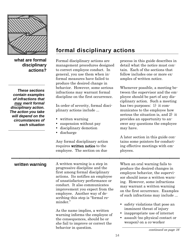

**what are formal disciplinary actions?**

*These sections contain examples of infractions that may merit formal disciplinary action. The action you take will depend on the circumstances of each situation*

### **formal disciplinary actions**

Formal disciplinary actions are management procedures designed to correct employee conduct. In general, you use them when informal measures have failed to produce the desired change in behavior. However, some serious infractions may warrant formal discipline on the first occurrence.

In order of severity, formal disciplinary actions include ...

- written warning
- suspension without pay
- disciplinary demotion
- discharge

Any formal disciplinary action requires written notice to the employee. The section on due

process in this guide describes in detail what the notice must contain. Each of the sections that follow includes one or more examples of written notice.

Whenever possible, a meeting between the supervisor and the employee should be part of any disciplinary action. Such a meeting has two purposes: 1) it communicates to the employee how serious the situation is, and 2) it provides an opportunity to answer any questions the employee may have.

A later section in this guide contains some pointers for conducting effective meetings with employees.

### **written warning**

A written warning is a step in progressive discipline and the first among formal disciplinary actions. Its notifies an employee of unsatisfactory performance or conduct. It also communicates improvement you expect from the employee. Another way of describing this step is "formal reminder."

As the name implies, a written warning informs the employee of the consequences, should he or she fail to improve or correct the behavior in question.

When an oral warning fails to produce the desired changes in employee behavior, the supervisor should issue a written warning. However, some infractions may warrant a written warning on the first occurrence. Examples of such infractions may include ...

- safety violations that pose an imminent threat of injury
- inappropriate use of internet
- assault (no physical contact or weapon) on a co-worker

continued on page 16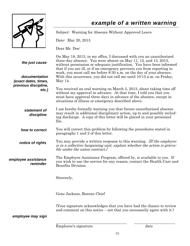

### *example of a written warning*

|                                                         | Employee's signature                                                                                                                                                                                                                                                                                                                                                                                                                                | date |
|---------------------------------------------------------|-----------------------------------------------------------------------------------------------------------------------------------------------------------------------------------------------------------------------------------------------------------------------------------------------------------------------------------------------------------------------------------------------------------------------------------------------------|------|
| employee may sign                                       |                                                                                                                                                                                                                                                                                                                                                                                                                                                     |      |
|                                                         | (Your signature acknowledges that you have had the chance to review<br>and comment on this notice – not that you necessarily agree with it.)                                                                                                                                                                                                                                                                                                        |      |
|                                                         | Gene Jackson, Bureau Chief                                                                                                                                                                                                                                                                                                                                                                                                                          |      |
|                                                         | Sincerely,                                                                                                                                                                                                                                                                                                                                                                                                                                          |      |
| employee assistance<br>reminder                         | The Employee Assistance Program, offered by, is available to you. If<br>you wish to use the service for any reason, contact the Health Care and<br>Benefits Division.                                                                                                                                                                                                                                                                               |      |
| notice of rights                                        | You may provide a written response to this warning. If the employee<br>is in a collective bargaining unit, explain whether the action is grieva-<br>ble under the union contract.                                                                                                                                                                                                                                                                   |      |
| how to correct                                          | You will correct this problem by following the procedures stated in<br>paragraphs 1 and 2 of this letter.                                                                                                                                                                                                                                                                                                                                           |      |
| statement of<br>discipline                              | I am hereby formally warning you that future unauthorized absence<br>may result in additional disciplinary action, up to and possibly includ-<br>ing discharge. A copy of this letter will be placed in your personnel<br>file.                                                                                                                                                                                                                     |      |
| previous discipline,<br>$etc.$ )                        | You received an oral warning on March 5, 2013, about taking time off<br>without my approval in advance. At that time, I told you that you<br>must have approval three days in advance of the absence, except in<br>situations of illness or emergency described above.                                                                                                                                                                              |      |
| the just cause<br>documentation<br>(exact dates, times, | On May 18, 2013, in my office, I discussed with you an unauthorized<br>three-day absence. You were absent on May 11, 12, and 13, 2013,<br>without permission or adequate justification. You have been informed<br>that if you are ill, or if an emergency prevents you from reporting to<br>work, you must call me before 8:30 a.m. on the day of your absence.<br>With this occurrence, you did not call me until 10:15 a.m. on Friday,<br>May 14. |      |
|                                                         | Dear Mr. Doe:                                                                                                                                                                                                                                                                                                                                                                                                                                       |      |
|                                                         | Date: May 20, 2013                                                                                                                                                                                                                                                                                                                                                                                                                                  |      |
|                                                         | Subject: Warning for Absence Without Approved Leave                                                                                                                                                                                                                                                                                                                                                                                                 |      |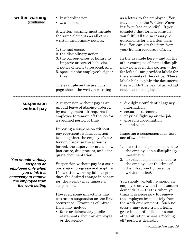| written warning<br>(continued)                                                                    | • insubordination<br>and so on<br>A written warning must include<br>the same elements as all other<br>written disciplinary notices:<br>1. the just cause,<br>2. the disciplinary action,<br>3. the consequences of failure to<br>improve or correct behavior,<br>4. notice of right to respond, and<br>5. space for the employee's signa-<br>ture<br>The example on the previous | as a letter to the employee. You<br>may also use the Written Warn-<br>ing form (see appendix). If you<br>complete that form accurately,<br>you fulfill all the necessary re-<br>quirements for a written warn-<br>ing. You can get the form from<br>your human resources officer.<br>In the example here $-$ and all the<br>other examples of formal discipli-<br>nary notices in this section $-$ the<br>far left column provides labels for<br>the elements of the notice. These<br>labels help explain the document;<br>they wouldn't be part of an actual |
|---------------------------------------------------------------------------------------------------|----------------------------------------------------------------------------------------------------------------------------------------------------------------------------------------------------------------------------------------------------------------------------------------------------------------------------------------------------------------------------------|---------------------------------------------------------------------------------------------------------------------------------------------------------------------------------------------------------------------------------------------------------------------------------------------------------------------------------------------------------------------------------------------------------------------------------------------------------------------------------------------------------------------------------------------------------------|
|                                                                                                   | page shows the written warning                                                                                                                                                                                                                                                                                                                                                   | notice to the employee.                                                                                                                                                                                                                                                                                                                                                                                                                                                                                                                                       |
|                                                                                                   |                                                                                                                                                                                                                                                                                                                                                                                  |                                                                                                                                                                                                                                                                                                                                                                                                                                                                                                                                                               |
| suspension<br>without pay                                                                         | A suspension without pay is an<br>unpaid leave of absence ordered<br>by management. It requires the<br>employee to remain off the job for<br>a specified period of time.<br>Imposing a suspension without                                                                                                                                                                        | • divulging confidential agency<br>information<br>• sexual harassment<br>physical fighting on the job<br>• gross insubordination<br>and so on.                                                                                                                                                                                                                                                                                                                                                                                                                |
|                                                                                                   | pay represents a formal action<br>taken against the employee's be-<br>havior. Because the action is<br>formal, the supervisor must show                                                                                                                                                                                                                                          | Imposing a suspension may take<br>one of two forms:<br>1. a written suspension issued to                                                                                                                                                                                                                                                                                                                                                                                                                                                                      |
|                                                                                                   | just cause, due process, and ade-<br>quate documentation.                                                                                                                                                                                                                                                                                                                        | the employee in a disciplinary<br>meeting, or                                                                                                                                                                                                                                                                                                                                                                                                                                                                                                                 |
| You should verbally<br>suspend an<br>employee only when<br>you think it is<br>necessary to remove | Suspension without pay is a seri-<br>ous step in progressive discipline.<br>If a written warning fails to pro-<br>duce the desired change in behav-                                                                                                                                                                                                                              | 2. a verbal suspension issued to<br>the employee at the time of<br>the infraction (followed by<br>written notice).                                                                                                                                                                                                                                                                                                                                                                                                                                            |
| the employee from<br>the work setting                                                             | ior, the agency may impose a<br>suspension.                                                                                                                                                                                                                                                                                                                                      | You should verbally suspend an<br>employee only when the situation<br>demands it $-$ that is, when you                                                                                                                                                                                                                                                                                                                                                                                                                                                        |
|                                                                                                   | However, some infractions may<br>warrant a suspension on the first<br>occurrence. Examples of infrac-<br>tions may include<br>• false or defamatory public<br>statements about an employee<br>or the agency                                                                                                                                                                      | think it is necessary to remove<br>the employee immediately from<br>the work environment. Such ne-<br>cessity may arise from a fight,<br>gross insubordination, or some<br>other situation where a "cooling"<br>off" period is desirable.                                                                                                                                                                                                                                                                                                                     |

continued on page 18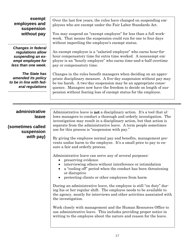### **exempt employees and suspension without pay**

*Changes in federal regulations allow suspending an exempt employee for less than one week.*

*The State has amended its policy to be in line with federal regulations* Over the last few years, the rules have changed on suspending employees who are exempt under the Fair Labor Standards Act.

You may suspend an "exempt employee" for less than a full workweek. That means the suspension could run for one to four days without imperiling the employee's exempt status.

An exempt employee is a "salaried employee" who earns hour-forhour compensatory time for extra time worked. A nonexempt employee is an "hourly employee" who earns time-and-a-half overtime pay or compensatory time.

Changes in the rules benefit managers when deciding on an appropriate disciplinary measure. A five-day suspension without pay may be too harsh. A two-day suspension may be an appropriate consequence. Managers now have the freedom to decide on length of suspension without fearing loss of exempt status for the employee.

### **administrative leave**

### **(sometimes called suspension**  *with* **pay)**

Administrative leave is **not** a disciplinary action. It's a tool that allows managers to conduct a thorough and orderly investigation. The investigation may result in a disciplinary action, but that action is separate from the administrative leave. A term people sometimes use for this process is "suspension with pay."

By giving the employee normal pay and benefits, management prevents undue harm to the employee. It's a small price to pay to ensure a fair and orderly process.

Administrative leave can serve any of several purposes:

- preserving evidence
- interviewing others without interference or intimidation
- a "cooling off" period when the conduct has been threatening or disruptive
- protecting clients or other employees from harm

During an administrative leave, the employee is still "on duty" during his or her regular shift. The employee needs to be available to the agency, mostly for interviews and other activities associated with the investigation.

Work closely with management and the Human Resources Office to use administrative leave. This includes providing proper notice in writing to the employee about the nature and reason for the leave.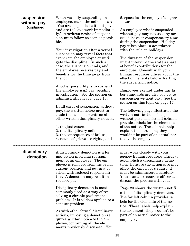#### **suspension without pay** (continued)

When verbally suspending an employee, make the action clear: "You are suspended without pay and are to leave work immediately." A written notice of suspension must follow as soon as possible.

Your investigation after a verbal suspension may reveal facts that exonerate the employee or mitigate the discipline. In such a case, the suspension ends, and the employee receives pay and benefits for the time away from the job.

Another possibility is to suspend the employee with pay, pending investigation. See the section on administrative leave, page 17.

In all cases of suspension without pay, the written notice must include the same elements as all other written disciplinary notices:

- 1. the just cause,
- 2. the disciplinary action,
- 3. the consequences of failure,
- 4. notice of grievance rights, and

5. space for the employee's signature.

An employee who is suspended without pay may not use any accrued leave or compensatory time during the suspension. Holiday pay takes place in accordance with the rule on holidays.

The duration of the suspension might interrupt the state's share of benefit contributions for the employee. Consult with your human resources officer about the effect on benefits before drafting the suspension notice.

Employees exempt under fair labor standards are also subject to suspension without pay. See the section on this topic on page 17.

The following page illustrates the written notification of suspension without pay. The far left column provides labels for the elements of the notice. These labels help explain the document; they wouldn't be part of an actual notice to the employee.

### **disciplinary demotion**

A disciplinary demotion is a formal action involving reassignment of an employee. The employee is removed from his or her current position and put in a position with reduced responsibilities. A demotion may result in reduced pay.

Disciplinary demotion is most commonly used as a way of resolving a chronic performance problem. It is seldom applied to a conduct problem.

As with other formal disciplinary actions, imposing a demotion requires written notice to the employee, containing all the elements previously discussed. You

must work closely with your agency human resources officer to accomplish a disciplinary demotion. Because the action also may affect the employee's salary, it must be administered carefully Your human resources officer can discuss the process with you.

Page 20 shows the written notification of disciplinary demotion. The far left column provides labels for the elements of the notice. These labels help explain the document; they wouldn't be part of an actual notice to the employee.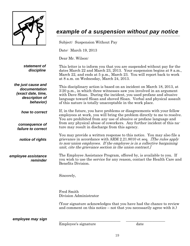

### *example of a suspension without pay notice*

Subject: Suspension Without Pay

Date: March 19, 2013

Dear Mr. Wilson:

*statement of discipline* This letter is to inform you that you are suspended without pay for the dates March 22 and March 23, 2013. Your suspension begins at 8 a.m., March 22, and ends at 5 p.m., March 23. You will report back to work at 8 a.m. on Wednesday, March 24, 2013.

This disciplinary action is based on an incident on March 18, 2013, at 3:20 p.m., in which three witnesses saw you involved in an argument

*the just cause and documentation (exact date, time, description of behavior)*

*how to correct*

*consequence of failure to correct*

*notice of rights*

*employee assistance reminder* with Dave Sloan. During the incident, you used profane and abusive language toward Sloan and shoved Sloan. Verbal and physical assault of this nature is totally unacceptable in the work place. If, in the future, you have problems or disagreements with your fellow employees at work, you will bring the problem directly to me to resolve.

You are prohibited from any use of abusive or profane language and from any physical abuse of coworkers. Any further incident of this nature may result in discharge from this agency.

You may provide a written response to this notice. You may also file a grievance in accordance with ARM 2.21.8010 et seq. [The rules apply to non-union employees. If the employee is in a collective bargaining unit, cite the grievance section in the union contract.]

The Employee Assistance Program, offered by, is available to you. If you wish to use the service for any reason, contact the Health Care and Benefits Division.

Sincerely,

Fred Smith Division Administrator

(Your signature acknowledges that you have had the chance to review and comment on this notice – not that you necessarily agree with it.)

*employee may sign*

Employee's signature date

\_\_\_\_\_\_\_\_\_\_\_\_\_\_\_\_\_\_\_\_\_\_\_\_\_\_\_\_\_\_\_\_\_ \_\_\_\_\_\_\_\_\_\_\_\_\_\_\_\_\_\_\_\_\_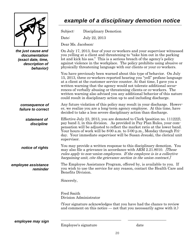

*the just cause and documentation (exact date, time, description of behavior)*

#### *consequence of failure to correct*

*statement of discipline*

*notice of rights*

*employee assistance reminder*

### *example of a disciplinary demotion notice*

Subject: Disciplinary Demotion

Date: July 22, 2013

Dear Ms. Jacobson:

On July 17, 2013, four of your co-workers and your supervisor witnessed you yelling at a client and threatening to "take him out in the parking lot and kick his ass." This is a serious breach of the agency's policy against violence in the workplace. The policy prohibits using abusive or physically threatening language with our clients or your co-workers.

You have previously been warned about this type of behavior. On July 15, 2013, three co-workers reported hearing you "yell" profane language at a client at the customer service counter. At that time, I gave you a written warning that the agency would not tolerate additional occurrences of verbally abusing or threatening clients or co-workers. The written warning also advised you any additional behavior of this nature could result in disciplinary action up to and including discharge.

Any future violation of this policy may result in your discharge. However, we realize you are a long-term agency employee. At this time, have decided to take a less severe disciplinary action than discharge.

Effective July 23, 2013, you are demoted to Clerk (position no. 111222), pay band 3, in this division. As provided in Pay Plan Rules, your compensation will be adjusted to reflect the market ratio at the lower band. Your hours of work will be 8:00 a.m. to 5:00 p.m., Monday through Friday. Your immediate supervisor will be Susan Jrsuski, the clerical unit supervisor.

You may provide a written response to this disciplinary demotion. You may also file a grievance in accordance with ARM 2.21.8010. [These rules apply to non-union employees. If the employee is in a collective bargaining unit, cite the grievance section in the union contract.]

The Employee Assistance Program, offered by, is available to you. If you wish to use the service for any reason, contact the Health Care and Benefits Division.

Sincerely,

Fred Smith Division Administrator

(Your signature acknowledges that you have had the chance to review and comment on this notice — not that you necessarily agree with it.)

*employee may sign*

Employee's signature date

\_\_\_\_\_\_\_\_\_\_\_\_\_\_\_\_\_\_\_\_\_\_\_\_\_\_\_\_\_\_\_\_\_ \_\_\_\_\_\_\_\_\_\_\_\_\_\_\_\_\_\_\_\_\_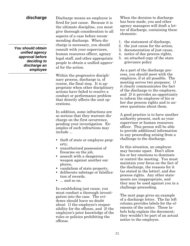#### **discharge**

*You should obtain unified agency approval before deciding to discharge an employee*

Discharge means an employee is fired for just cause. Because it is the ultimate discipline, you must give thorough consideration to all aspects of a case before recommending discharge. When discharge is necessary, you should consult with your supervisors, human resources officer, agency legal staff, and other appropriate people to obtain a unified approval for the action.

Within the progressive disciplinary process, discharge is, of course, the final step. It is appropriate when other disciplinary actions have failed to resolve a conduct or performance problem that directly affects the unit operations.

In addition, some infractions are so serious that they warrant discharge on the first occurrence, pending your investigation. Examples of such infractions may include ...

- theft of state or employee property,
- unauthorized possession of firearms on the job,
- assault with a dangerous weapon against another employee,
- vandalism of state property,
- deliberate sabotage or falsification of records,
- ... and so on.

In establishing just cause, you must conduct a thorough investigation into the case. The evidence should leave no doubt about 1) the employee's responsibility for the offense, and 2) the employee's prior knowledge of the rules or policies prohibiting the offense.

When the decision to discharge has been made, you and other agency managers will draft a letter of discharge, containing these elements:

- 1. the statement of discharge,
- 2. the just cause for the action,
- 3. documentation of just cause,
- 4. notice of due process rights,
- 5. an attached copy of the state grievance policy

As a part of the discharge process, you should meet with the employee, if at all possible. The meeting serves two purposes: 1) it clearly communicates the fact of the discharge to the employee, and 2) it provides an opportunity to inform the employee of his or her due process rights and to answer questions about them.

A good practice is to have another authority present, such as your supervisor or human resources officer. This person will be able to provide additional information in any proceeding arising from a challenge to the discharge.

In this situation, an employee may become upset. Don't allow his or her emotions to dominate or control the meeting. You must maintain your focus on the fact of the discharge, the reasons for it (as stated in the letter), and due process rights. Any other statements are inappropriate, and they may be used against you in a challenge proceeding.

The next page gives an example of a discharge letter. The far left column provides labels for the elements of the notice. These labels help explain the document; they wouldn't be part of an actual notice to the employee.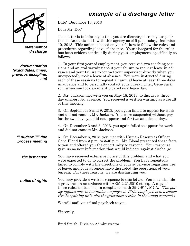### *example of a discharge letter*



*statement of discharge*

*documentation (exact dates, times, previous discipline, etc)* Date: December 10, 2013

Dear Mr. Doe:

This letter is to inform you that you are discharged from your position as Accountant III with this agency as of 5 p.m. today, December 10, 2013. This action is based on your failure to follow the rules and procedures regarding leave of absence. Your disregard for the rules has been evident continually during your employment, specifically as follows:

1. In your first year of employment, you received two coaching sessions and an oral warning about your failure to request leave in advance and your failure to contact your supervisor directly when you unexpectedly took a leave of absence. You were instructed during each of these sessions to request all annual leave at least three days in advance and to personally contact your bureau chief, Gene Jackson, when you took an unanticipated sick leave day.

2. Mr. Jackson met with you on May 18, 2013, to discuss a threeday unapproved absence. You received a written warning as a result of this meeting.

3. On September 8 and 9, 2013, you again failed to appear for work and did not contact Mr. Jackson. You were suspended without pay for the two days you did not appear and for two additional days.

4. On December 2 and 3, 2013, you again failed to appear for work and did not contact Mr. Jackson.

5. On December 6, 2013, you met with Human Resources Officer Gene Blond from 3 p.m. to 3:46 p.m. Mr. Blond presented these facts to you and offered you the opportunity to respond. Your response gave us no new information that would indicate against discharge. *"Loudermill" due process meeting*

You have received extensive notice of this problem and what you were expected to do to correct the problem. You have repeatedly failed to comply with the directions of your supervisor regarding use of leave, and your absences have disrupted the operations of your bureau. For these reasons, we are discharging you. *the just cause*

You may provide a written response to this letter. You may also file a grievance in accordance with ARM 2.21.8010 et seq. A copy of these rules is attached, in compliance with 39-2-911, MCA. *The pol*icy applies only to non-union employees. If the employee is in a collective bargaining unit, cite the grievance section in the union contract.] *notice of rights*

We will mail your final paycheck to you.

Sincerely,

Fred Smith, Division Administrator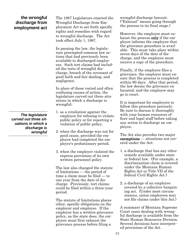### **the wrongful discharge from employment act**

*The legislature carved out three situations in which a discharge is wrongful*

The 1987 Legislature enacted the Wrongful Discharge from Employment Act to set forth specific rights and remedies with regard to wrongful discharge. The Act took effect July 1, 1987.

In passing the law, the legislature preempted common law actions that had previously been available to discharged employees. Such tort claims had included the torts of wrongful discharge, breach of the covenant of good faith and fair dealing, and negligence.

In place of these varied and often confusing causes of action, the legislature carved out three situations in which a discharge is wrongful:

- 1. as a retaliation against the employee for refusing to violate public policy or for reporting a violation of public policy,
- 2. when the discharge was not for good cause, provided the employee had completed the employer's probationary period,
- 3. when the employer violated the express provisions of its own written personnel policy.

The law also changed the statute of limitations — the period of time a claim must be filed — to one year from the date of discharge. Previously, tort claims could be filed within a three-year period.

The statute of limitations places other, specific obligations on the employer and employee. If the employer has a written grievance policy, as the state does, the employee must first exhaust the grievance process before filing a

wrongful discharge lawsuit. ("Exhaust" means going through the process to its final stage.)

However, the employee must exhaust the process only if the employer informs the employee that the grievance procedure is available. This must take place within seven days of the date of discharge, and the employee must receive a copy of the procedure.

Finally, if the employee files a grievance, the employer must ensure that the process is completed within 90 days. After that period, the law deems the grievance exhausted, and the employee may go to court.

It is important for employers to follow this procedure precisely. Be sure to discuss it thoroughly with your human resources officer and legal staff before taking any action to discharge an employee.

The Act also provides two major exemptions — situations not covered under the Act:

- 1. a discharge that has any other remedy available under state or federal law. (For example, a discrimination claim is covered under the Montana Human Rights Act or Title VII of the federal Civil Rights Act.)
- 2. a discharge of an employee covered by a collective bargaining act. (Under most circumstances, union employees may not file claims under this Act.)

A summary of Montana Supreme Court cases dealing with wrongful discharge is available from the State Human Resources Division. Several decisions have interpreted provisions of the Act.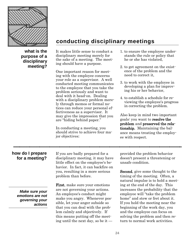

**what is the purpose of a disciplinary meeting?** **conducting disciplinary meetings**

It makes little sense to conduct a disciplinary meeting merely for the sake of a meeting. The meeting should have a purpose.

One important reason for meeting with the employee concerns your role as a supervisor. A well conducted meeting communicates to the employee that you take the problem seriously and want to deal with it head-on. Dealing with a disciplinary problem merely through memos or formal notices can reduce your personal effectiveness as a supervisor. It may give the impression that you are "hiding behind paper."

In conducting a meeting, you should strive to achieve four major objectives:

- 1. to ensure the employee understands the rule or policy that he or she has violated,
- 2. to get agreement on the existence of the problem and the need to correct it,
- 3. to work with the employee in developing a plan for improving his or her behavior,
- 4. to establish a schedule for reviewing the employee's progress in correcting the problem.

Also keep in mind two important goals: you want to resolve the problem and preserved the relationship. Maintaining the balance means treating the employee with respect.

### **how do I prepare for a meeting?**

*Make sure your emotions are not governing your actions* If you are badly prepared for a disciplinary meeting, it may have little effect on the employee's behavior. In fact, it can backfire on you, resulting in a more serious problem than before.

First, make sure your emotions are not governing your actions. An employee's conduct might make you angry. Whenever possible, let your anger subside so that you can deal with the problem calmly and objectively. If this means putting off the meeting until the next day, so be it — provided the problem behavior doesn't present a threatening or unsafe condition.

Second, give some thought to the timing of the meeting. Often, a natural impulse is to hold a meeting at the end of the day. This increases the probability that the employee will "take the problem home" and stew or fret about it. If you hold the meeting near the beginning of the work day, you and the employee can focus on solving the problem and then return to normal work activities.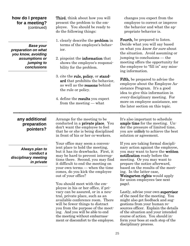#### **how do I prepare for a meeting?** (continued)

*Base your preparation on what you know, avoiding assumptions or jumping to conclusions*

Third, think about how you will present the problem to the employee. You should be ready to do the following things:

- 1. clearly describe the problem in terms of the employee's behavior.
- 2. pinpoint the information that shows the employee's responsibility for the problem.
- 3. cite the rule, policy, or standard that prohibits the behavior. as well as the reasons behind the rule or policy.
- 4. define the results you expect from the meeting — what

changes you expect from the employee to correct or improve the behavior and what the appropriate behavior is.

Fourth, be prepared to listen. Decide what you will say based on what you know for sure about the situation. Avoid assuming or jumping to conclusions — the meeting offers the opportunity for the employee to "fill in" any missing information.

Fifth, be prepared to advise the employee about the Employee Assistance Program. It's a good idea to give this information in every disciplinary meeting. For more on employee assistance, see the later section on this topic.

### **any additional preparation pointers?**

*Always plan to conduct a disciplinary meeting in private* Arrange for the meeting to be conducted in a private place. You don't want the employee to feel that he or she is being disciplined in front of his or her co-workers.

Your office may seem a convenient place to hold the meeting, but it has its drawbacks. First, it may be hard to prevent interruptions there. Second, you may find it difficult to end the meeting on your own terms — when the time comes, do you kick the employee out of your office?

You should meet with the employee in his or her office, if privacy can be assured, or in a neutral, private place, such as an available conference room. There will be fewer things to distract you from the purpose of the meeting. And you will be able to end the meeting without embarrassment or discomfort to the employee. It's also important to schedule ample time for the meeting. Under the pressure of limited time, you are unlikely to achieve the best solution or agreement.

If you are taking formal disciplinary action against the employee, you may want to have the written notification ready before the meeting. Or you may want to prepare the notice afterward, based on the results of the meeting. In the latter case, Weingarten rights would apply for union employees (see next page).

Lastly, advise your own supervisor of the need for the meeting. You might also get feedback and suggestions from your human resources officer. Explain the details of the situation and your intended course of action. You should inform your boss at each step of the disciplinary process.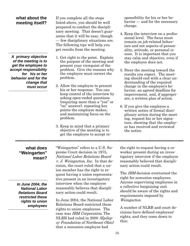### **what about the meeting itself?**

*A primary objective of the meeting is to get the employee to accept responsibility for his or her behavior and for the change that must occur*

If you complete all the steps listed above, you should be well prepared to conduct the disciplinary meeting. That doesn't guarantee that it will be easy, though — few disciplinary situations are. The following tips will help you get results from the meeting.

- 1. Get right to the point. Explain the purpose of the meeting and present your viewpoint of the problem. Give the reasons why the employee must correct the problem.
- 2. Allow the employee to present his or her response. You can keep control of the interview by asking open-ended questions (requiring more than a "yes" or "no" answer), repeating key points the employee makes, and maintaining focus on the problem.
- 3. Keep in mind that a primary objective of the meeting is to get the employee to accept re-

sponsibility for his or her behavior — and for the necessary change.

- 4. Keep the interview on a professional level. The focus must remain on job-related behaviors and not aspects of personality, attitude, or personal issues. It is important that you stay calm and objective, even if the employee does not.
- 5. Steer the meeting toward the results you expect. The meeting should end with a clear understanding of the required change in the employee's behavior, an agreed deadline for improvement, and, if appropriate, a written plan of action.
- 6. If you give the employee a written notice of formal disciplinary action during the meeting, request his or her signature, showing that the employee has received and reviewed the notice.

### **what does "Weingarten" mean?**

*In June 2004, the National Labor Relations Board restricted these rights to union employees*

"Weingarten" refers to a U.S. Supreme Court decision in 1975, National Labor Relations Board v. J. Weingarten, Inc. In that decision, the court ruled that a union member has the right to request having a union representative present in an investigatory interview when the employee reasonably believes that disciplinary action could result.

In June 2004, the National Labor Relations Board restricted these rights to union employees. The case was IBM Corporation. The NLRB had ruled in 2000 (Epilepsy Foundation of Northeast Ohio) that a nonunion employee had

the right to request having a coworker present during an investigatory interview if the employee reasonably believed that disciplinary action could result.

The *IBM* decision overturned the right for nonunion employees. Anyone supervising employees in a collective bargaining unit should be aware of the rights and requirements imposed by Weingarten.

A number of NLRB and court decisions have defined employees' rights, and they come down to this: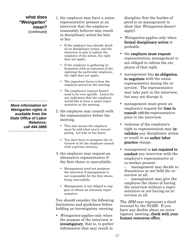**what does "Weingarten" mean?** (continued)

*More information on Weingarten rights is available from the State Office of Labor Relations; call 444-3885*

- 1. the employee may have a union representative present at an interview that the employee reasonably believes may result in disciplinary action for him or her.
	- If the employer has already decided on disciplinary action, and the interview is only to inform the employee of the action, the right does not apply;
	- If the employer is gathering information with no intention of disciplining the particular employee, the right does not apply;
	- The important factor is how the employee perceives the meeting.
	- The employee's request doesn't need to be very specific. Listen for any indication that the employee would like to have a union representative at the meeting.
- 2. the employee may consult with the representative before the meeting.
	- This also means the employee must be told what you're investigating. Let him or her know.
	- You don't have to postpone the interview to let the employee consult with a private attorney.
- 3. the employee may request an alternative representative if the first choice is unavailable.
	- Management need not postpone the interview if management is not responsible for the first choice being unavailable.
	- Management is not obliged to suggest or obtain an alternate representative.

You should consider the following limitations and guidelines before holding an investigatory meeting.

• *Weingarten* applies only when the purpose of the interview is investigatory, that is, to gather information that may result in

discipline (but the burden of proof is on management to show that Weingarten doesn't apply).

- Weingarten applies only when formal disciplinary action is probable.
- the employee must request representation; management is not obliged to inform the employee of that right.
- management has **no obligation** to negotiate with the union representative during the interview. The representative may take part in the interview, but may not disrupt it.
- management must grant an employee's request for time to consult with the representative prior to the interview.
- violation of the employee's right to representation may invalidate any disciplinary action or result in an unfair labor practice charge.
- management is **not required to** conduct any interview with the employee's representative or co-worker present.

management may decide to discontinue or not hold the interview at all.

management may give the employee the choice of having the interview without a representative or not having an interview at all.

The *IBM* case represents a third reversal by the NLRB. If you have any doubts about an investigatory meeting, check with your human resources office.

**27**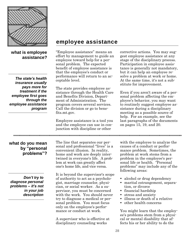

### **what is employee assistance?**

*The state's health insurance usually pays more for treatment if the employee first goes through the employee assistance program*

### **employee assistance**

"Employee assistance" means an effort by management to guide an employee toward help for a personal problem. The expected benefit of employee assistance is that the employee's conduct or performance will return to an acceptable level.

The state provides employee assistance through the Health Care and Benefits Division, Department of Administration. The program covers several services. Call the division or go to benefits.mt.gov.

Employee assistance is a tool you and the employee can use in conjunction with discipline or other

corrective actions. You may suggest employee assistance at any stage of the disciplinary process. Participation in employee assistance is generally not mandatory, but it can help an employee resolve a problem at work or home. At the same time, it's not a substitute for improvement.

Even if you aren't aware of a personal problem affecting the employee's behavior, you may want to routinely suggest employee assistance during a disciplinary meeting as a possible source of help. For an example, see the last paragraphs of the documents on pages 15, 19, and 20.

**what do you mean by "personal problems"?**

*Don't try to diagnose personal problems – it's not in your job description*

The line that separates our personal and professional "lives" is a convenient illusion. In reality, home and work are deeply intertwined in everyone's life. A problem at work can greatly affect one's home life, and vice versa.

It is beyond the supervisor's scope of authority to act as a psychologist, marriage counselor, physician, or social worker. As a supervisor, you must be concerned with the work. You should never try to diagnose a medical or personal problem. You must focus only on the employee's performance or conduct at work.

A supervisor who is effective at disciplinary counseling works

with the employee to analyze the causes of a conduct or performance problem. Sometimes, the problem at work stems from a problem in the employee's personal life or health. "Personal problems" may include any of the following areas:

- alcohol or drug dependency
- marital estrangement, separation, or divorce
- financial hardship
- stress and anxiety
- illness or death of a relative
- other health concerns

You might learn that the employee's problems stem from a physical or mental disability that affects his or her ability to do the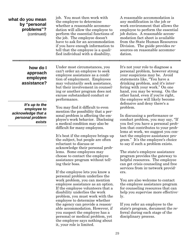### **what do you mean by "personal problems"?** (continued)

job. You must then work with the employee to determine whether a reasonable accommodation will allow the employee to perform the essential functions of the job. The employee doesn't have to ask for an accommodation if you have enough information to tell that the employee is a qualified individual with a disability.

A reasonable accommodation is any modification in the job or work environment that allows the employee to perform the essential job duties. A reasonable accommodation fact sheet is available from the State Human Resources Division. The guide provides resources on reasonable accommodation.

### **how do I approach employee assistance?**

*It's up to the employee to acknowledge that a personal problem exists*

Under most circumstances, you can't order an employee to seek employee assistance as a condition of employment. Employees may voluntarily seek assistance, but their involvement in counseling or another program does not excuse substandard conduct or performance.

You may find it difficult to even mention the possibility that a personal problem is affecting the employee's work behavior. Disclosing a medical condition may also be difficult for many employees.

It's best if the employee brings up the subject, but people are often reluctant to discuss or acknowledge their personal problems. Some employees may choose to contact the employee assistance program without telling their boss.

If the employee lets you know a personal problem underlies the work problem, you can mention employee assistance as an option. If the employee volunteers that a disability underlies the work problem, you must work with the employee to determine whether the agency can provide a reasonable accommodation. However, if you suspect the employee has a personal or medical problem, yet the employee says nothing about it, your role is limited.

It's not your role to diagnose a personal problem, however strong your suspicions may be. Avoid statements like, "You have a drinking problem, and it's interfering with your work." On one hand, you may be wrong. On the other hand, even if you're right, the employee will likely become defensive and deny there's a problem.

In discussing a performance or conduct problem, you may say, "If you feel you have a personal problem that contributes to your problems at work, we suggest you contact the employee assistance program." It's the employee's choice to say if such a problem exists.

The state's employee assistance program provides the gateway to helpful resources. The employee can get crisis counseling and free services from in-network providers.

You are also welcome to contact the employee assistance program for counseling resources that can help you supervise more effectively.

If you refer an employee to the state's program, document the referral during each stage of the disciplinary process.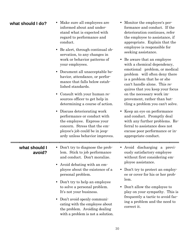| what should I do?       | • Make sure all employees are<br>informed about and under-<br>stand what is expected with<br>regard to performance and<br>conduct.<br>Be alert, through continual ob-<br>$\bullet$<br>servation, to any changes in<br>work or behavior patterns of<br>your employees.<br>• Document all unacceptable be-<br>havior, attendance, or perfor-<br>mance that falls below estab-<br>lished standards.<br>• Consult with your human re-<br>sources officer to get help in<br>determining a course of action. | Monitor the employee's per-<br>formance and conduct. If the<br>deterioration continues, refer<br>the employee to assistance, if<br>appropriate. Explain that the<br>employee is responsible for<br>seeking assistance.<br>Be aware that an employee<br>$\bullet$<br>with a chemical dependency,<br>emotional problem, or medical<br>problem will often deny there<br>is a problem that he or she<br>can't handle alone. This re-<br>quires that you keep your focus<br>on the necessary work im-<br>provement, rather than bat-<br>tling a problem you can't solve. |  |  |  |
|-------------------------|--------------------------------------------------------------------------------------------------------------------------------------------------------------------------------------------------------------------------------------------------------------------------------------------------------------------------------------------------------------------------------------------------------------------------------------------------------------------------------------------------------|---------------------------------------------------------------------------------------------------------------------------------------------------------------------------------------------------------------------------------------------------------------------------------------------------------------------------------------------------------------------------------------------------------------------------------------------------------------------------------------------------------------------------------------------------------------------|--|--|--|
|                         | Discuss deteriorating work<br>٠<br>performance or conduct with<br>the employee. Express your<br>concern. Stress that the em-<br>ployee's job could be in jeop-<br>ardy unless behavior improves.                                                                                                                                                                                                                                                                                                       | Keep an eye on performance<br>$\bullet$<br>and conduct. Promptly deal<br>with any further problems. Re-<br>ferral to assistance does not<br>excuse poor performance or in-<br>appropriate conduct.                                                                                                                                                                                                                                                                                                                                                                  |  |  |  |
| what should I<br>avoid? | • Don't try to diagnose the prob-<br>lem. Stick to job performance<br>and conduct. Don't moralize.<br>Avoid debating with an em-<br>$\bullet$<br>ployee about the existence of a<br>personal problem.<br>Don't try to help an employee<br>$\bullet$<br>to solve a personal problem.<br>It's not your business.<br>Don't avoid openly communi-<br>٠<br>cating with the employee about<br>the problem. Avoiding dealing<br>with a problem is not a solution.                                             | Avoid discharging a previ-<br>$\bullet$<br>ously satisfactory employee<br>without first considering em-<br>ployee assistance.<br>Don't try to protect an employ-<br>$\bullet$<br>ee or cover for his or her prob-<br>lem.<br>• Don't allow the employee to<br>play on your sympathy. This is<br>frequently a tactic to avoid fac-<br>ing a problem and the need to<br>correct it.                                                                                                                                                                                   |  |  |  |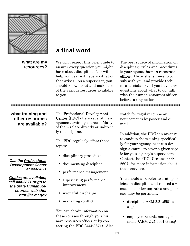

**what are my resources?**

### **a final word**

We don't expect this brief guide to answer every question you might have about discipline. Nor will it help you deal with every situation that arises. As a supervisor, you should know about and make use of the various resources available to you.

The best source of information on disciplinary rules and procedures is your agency human resources officer. He or she is there to consult with you and provide technical assistance. If you have any questions about what to do, talk with the human resources officer before taking action.

**what training and other resources are available?**

*Call the Professional Development Center at 444-3871*

*Guides are available; call 444-3871 or go to the State Human Resources web site: http://hr.mt.gov* The Professional Development Center (PDC) offers several management training courses. Many of them relate directly or indirectly to discipline.

The PDC regularly offers these topics:

- disciplinary procedure
- documenting discipline
- performance management
- supervising performance improvement
- wrongful discharge
- managing conflict

You can obtain information on these courses through your human resources officer or by contacting the PDC (444-3871). Also watch for regular course announcements by poster and email.

In addition, the PDC can arrange to conduct the training specifically for your agency, or it can design a course to cover a given topic for your agency's supervisors. Contact the PDC Director (444- 2607) for more information about these services.

You should also refer to state policies on discipline and related areas. The following rules and policies may be pertinent:

- discipline (ARM 2.21.6501 et seq)
- employee records management (ARM 2.21.6601 et seq)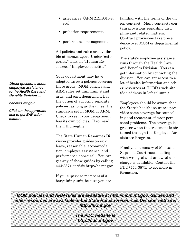- grievances (ARM 2.21.8010 et seq)
- probation requirements
- performance management

All policies and rules are available at mom.mt.gov. Under "categories," click on "Human Resources / Employee benefits."

Your department may have adopted its own policies covering these areas. MOM policies and ARM rules set minimum standards, and each department has the option of adopting separate policies, as long as they meet the standards set in MOM or ARM. Check to see if your department has its own policies. If so, read them thoroughly.

The State Human Resources Division provides guides on sick leave, reasonable accommodation, employee assistance, and performance appraisal. You can get any of these guides by calling 444-3871 or visit http://hr.mt.gov.

If you supervise members of a bargaining unit, be sure you are

familiar with the terms of the union contract. Many contracts contain provisions regarding discipline and related matters. Contract provisions take precedence over MOM or departmental policy.

The state's employee assistance runs through the Health Care and Benefits Division. You can get information by contacting the division. You can get access to a lot of health information and other resources at HCBD's web site. (See address in left column.)

Employees should be aware that the State's health insurance provides some coverage for counseling and treatment of most personal problems. The coverage is greater when the treatment is obtained through the Employee Assistance Program.

Finally, a summary of Montana Supreme Court cases dealing with wrongful and unlawful discharge is available. Contact the PDC (444-3871) to get more information.

*MOM policies and ARM rules are available at http://mom.mt.gov. Guides and other resources are available at the State Human Resources Division web site: http://hr.mt.gov*

> *The PDC website is http://pdc.mt.gov*

*Direct questions about employee assistance to the Health Care and Benefits Division …*

#### *[benefits.mt.gov](http://www.reliantbh.com/)*

*Click on the approriate link to get EAP information.*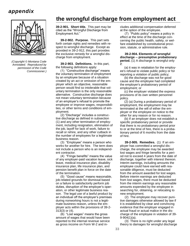### *appendix*



*(Copyright © Montana Code Annotated. Reproduced by permission of the Code Commissioner.)*

### **the wrongful discharge from employment act**

**39-2-901. Short title.** This part may be cited as the "Wrongful Discharge from Employment Act."

**39-2-902. Purpose.** This part sets forth certain rights and remedies with respect to wrongful discharge. Except as provided in 39-2-912, this part provides the exclusive remedy for a wrongful discharge from employment.

**39-2-903. Definitions.** In this part, the following definitions apply:

(1) "Constructive discharge" means the voluntary termination of employment by an employee because of a situation created by an act or omission of the employer which an objective, reasonable person would find so intolerable that voluntary termination is the only reasonable alternative. Constructive discharge does not mean voluntary termination because of an employer's refusal to promote the employee or improve wages, responsibilities, or other terms and conditions of employment.

(2) "Discharge" includes a constructive discharge as defined in subsection (1) and any other termination of employment, including resignation, elimination of the job, layoff for lack of work, failure to recall or rehire, and any other cutback in the number of employees for a legitimate business reason.

(3) "Employee" means a person who works for another for hire. The term does not include a person who is an independent contractor.

(4) "Fringe benefits" means the value of any employer-paid vacation leave, sick leave, medical insurance plan, disability insurance plan, life insurance plan, and pension benefit plan in force on the date of the termination.

(5) "Good cause" means reasonable, job-related grounds for dismissal based on a failure to satisfactorily perform job duties, disruption of the employer's operation, or other legitimate business reason. The legal use of a lawful product by an individual off the employer's premises during nonworking hours is not a legitimate business reason, unless the employer acts within the provisions of 39-2- 313(3) or (4).

(6) "Lost wages" means the gross amount of wages that would have been reported to the internal revenue service as gross income on Form W-2 and includes additional compensation deferred at the option of the employee.

(7) "Public policy" means a policy in effect at the time of the discharge concerning the public health, safety, or welfare established by constitutional provision, statute, or administrative rule.

#### **39-2-904. Elements of wrongful discharge -- presumptive probationary period.** (1) A discharge is wrongful only if:

 (a) it was in retaliation for the employee's refusal to violate public policy or for reporting a violation of public policy;

 (b) the discharge was not for good cause and the employee had completed the employer's probationary period of employment; or

 (c) the employer violated the express provisions of its own written personnel policy.

 (2) (a) During a probationary period of employment, the employment may be terminated at the will of either the employer or the employee on notice to the other for any reason or for no reason.

 (b) If an employer does not establish a specific probationary period or provide that there is no probationary period prior to or at the time of hire, there is a probationary period of 6 months from the date of hire.

**39-2-905. Remedies.** (1) If an employer has committed a wrongful discharge, the employee may be awarded lost wages and fringe benefits for a period not to exceed 4 years from the date of discharge, together with interest thereon. Interim earnings, including amounts the employee could have earned with reasonable diligence, must be deducted from the amount awarded for lost wages. Before interim earnings are deducted from lost wages, there must be deducted from the interim earnings any reasonable amounts expended by the employee in searching for, obtaining, or relocating to new employment.

(2) The employee may recover punitive damages otherwise allowed by law if it is established by clear and convincing evidence that the employer engaged in actual fraud or actual malice in the discharge of the employee in violation of 39- 9-904(1)(a).

(3) There is no right under any legal theory to damages for wrongful discharge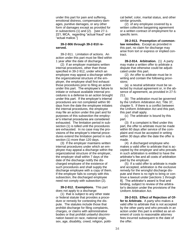under this part for pain and suffering, emotional distress, compensatory damages, punitive damages, or any other form of damages except as provided for in subsections (1) and (2). [see 27-1- 221, MCA, regarding "actual fraud" and "actual malice."]

#### **39-2-906 through 39-2-910 reserved.**

39-2-911. Limitation of actions. An action under this part must be filed within 1 year after the date of discharge.

(2) If an employer maintains written internal procedures, other than those specified in 39-2-912, under which an employee may appeal a discharge within the organizational structure of the employer, the employee shall first exhaust those procedures prior to filing an action under this part. The employee's failure to initiate or exhaust available internal procedures is a defense to an action brought under this part. If the employer's internal procedures are not completed within 90 days from the date the employee initiates the internal procedures, the employee may file an action under this part and for purposes of this subsection the employer's internal procedures are considered exhausted. The limitation period in subsection (1) is tolled until the procedures are exhausted. In no case may the provisions of the employer's internal procedures extend the limitation period in subsection (1) more than 120 days.

(3) If the employer maintains written internal procedures under which an employee may appeal a discharge within the organizational structure of the employer, the employer shall within 7 days of the date of the discharge notify the discharged employee of the existence of such procedures and shall supply the discharge employee with a copy of them. If the employer fails to comply with this subsection, the discharged employee need not comply with subsection (2).

**39-2-912. Exemptions.** This part does not apply to a discharge:

(1) that is subject to any other state or federal statute that provides a procedure or remedy for contesting the dispute. The statutes include those that prohibit discharge for filing complaints, charges, or claims with administrative bodies or that prohibit unlawful discrimination based on race, national origin, sex, age, disability, creed, religion, politi-

cal belief, color, marital status, and other similar grounds.

(2) of any employee covered by a written collective bargaining agreement or a written contract of employment for a specific term.

**39-2-913. Preemption of commonlaw remedies.** Except as provided in this part, no claim for discharge may arise from tort or express or implied contract.

**39-2-914. Arbitration.** (1) A party may make a written offer to arbitrate a dispute that otherwise could be adjudicated under this part.

(2) An offer to arbitrate must be in writing and contain the following provisions:

(a) a neutral arbitrator must be selected by mutual agreement or, in the absence of agreement, as provided in 27-5- 211.

(b) The arbitration must be governed by the Uniform Arbitration Act, Title 37, chapter 5. If there is a conflict between the Uniform Arbitration Act and this part, this part shall apply.

(c) The arbitrator is bound by this part.

(3) If a complaint is filed under this part, the offer to arbitrate must be made within 60 days after service of the complaint and must be accepted in writing within 30 days after the date the offer is made.

(4) A discharged employee who makes a valid offer to arbitrate that is accepted by the employer and who prevails in such arbitration is entitled to have the arbitrator's fee and all costs of arbitration paid by the employer.

(5) If a valid offer to arbitrate is made and accepted, arbitration is the exclusive remedy for the wrongful discharge dispute and there is no right to bring or continue a lawsuit under [sections 1 through 8]. The arbitrator's award is final and binding, subject to review of the arbitrator's decision under the provisions of the Uniform Arbitration Act.

**39-2-915. Effect of Rejection of Offer to Arbitrate.** A party who makes a valid offer to arbitrate that is not accepted by the other party and who prevails in an action under this part is entitled as an element of costs to reasonable attorney fees incurred subsequent to the date of the offer.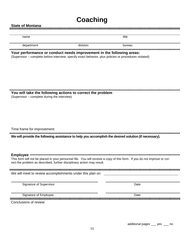## **Coaching**

#### **State of Montana**

name title that the contract of the contract of the contract of the contract of the contract of the contract of

department division bureau bureau division

#### **Your performance or conduct needs improvement in the following areas:**

(Supervisor – complete before interview; specify exact behavior, plus policies or procedures violated)

**You will take the following actions to correct the problem**

(Supervisor – complete during the interview)

Time frame for improvement:

**We will provide the following assistance to help you accomplish the desired solution (if necessary).**

**Employee**

This form will not be placed in your personnel file. You will receive a copy of this form. If you do not improve or correct the problem as described, further disciplinary action may result.

We will meet to review accomplishments under this plan on

Signature of Supervisor **Date Date** Date **Date Date Date Date Date Date Date** 

Signature of Employee Date Conclusions of review:

additional pages \_\_\_ yes \_\_\_ no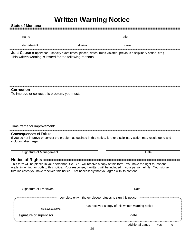### **Written Warning Notice**

State of Montana<br>**INCISE of Montana** 

| name                                                                                                                                               |          | title  |  |
|----------------------------------------------------------------------------------------------------------------------------------------------------|----------|--------|--|
| department                                                                                                                                         | division | bureau |  |
|                                                                                                                                                    |          |        |  |
| <b>Just Cause</b> (Supervisor – specify exact times, places, dates, rules violated, previous disciplinary action, etc.)                            |          |        |  |
| This written warning is issued for the following reasons:                                                                                          |          |        |  |
|                                                                                                                                                    |          |        |  |
|                                                                                                                                                    |          |        |  |
|                                                                                                                                                    |          |        |  |
|                                                                                                                                                    |          |        |  |
| <b>Correction</b>                                                                                                                                  |          |        |  |
| To improve or correct this problem, you must:                                                                                                      |          |        |  |
|                                                                                                                                                    |          |        |  |
|                                                                                                                                                    |          |        |  |
|                                                                                                                                                    |          |        |  |
|                                                                                                                                                    |          |        |  |
| Time frame for improvement:                                                                                                                        |          |        |  |
|                                                                                                                                                    |          |        |  |
| <b>Consequences of Failure</b>                                                                                                                     |          |        |  |
| If you do not improve or correct the problem as outlined in this notice, further disciplinary action may result, up to and<br>including discharge. |          |        |  |

Signature of Management Date

**Notice of Rights** This form will be placed in your personnel file. You will receive a copy of this form. You have the right to respond orally, in writing, or both to this notice. Your response, if written, will be included in your personnel file. Your signature indicates you have received this notice – not necessarily that you agree with its content.

| Signature of Employee   | Date                                                                                                                                                          |
|-------------------------|---------------------------------------------------------------------------------------------------------------------------------------------------------------|
|                         | complete only if the employee refuses to sign this notice<br>$\label{thm:main} is the set of the set of the set is the set of the set is the set of the set.$ |
| employee's name         | has received a copy of this written warning notice                                                                                                            |
| signature of supervisor | date                                                                                                                                                          |
|                         | additional pages ____<br>ves<br>no                                                                                                                            |